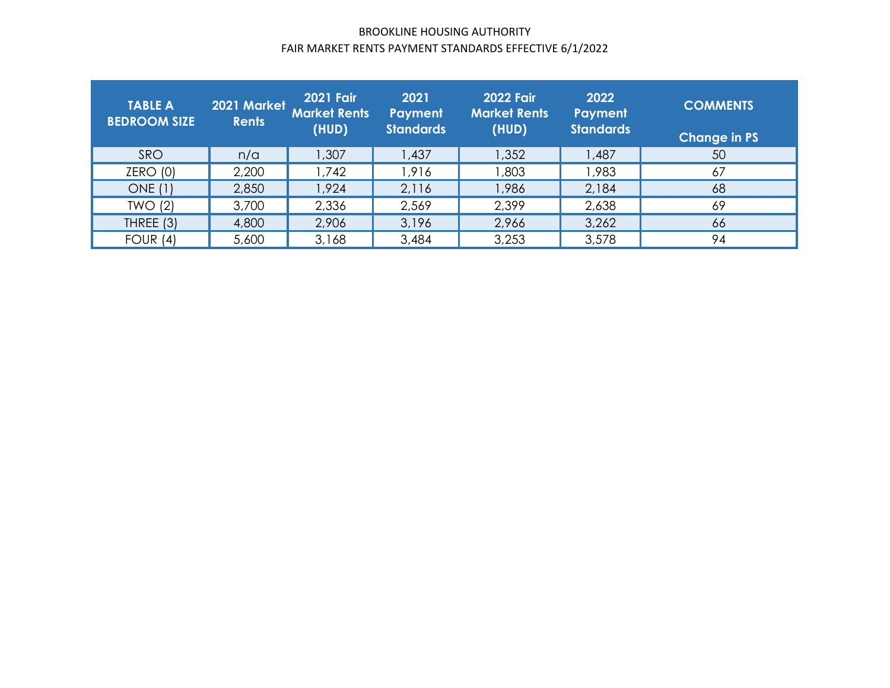## BROOKLINE HOUSING AUTHORITY FAIR MARKET RENTS PAYMENT STANDARDS EFFECTIVE <sup>6</sup>/1/2022

| <b>TABLE A</b><br><b>BEDROOM SIZE</b> | 2021 Market<br><b>Rents</b> | <b>2021 Fair</b><br><b>Market Rents</b><br>(HUD) | 2021<br>Payment<br><b>Standards</b> | <b>2022 Fair</b><br><b>Market Rents</b><br>(HUD) | 2022<br>Payment<br><b>Standards</b> | <b>COMMENTS</b><br><b>Change in PS</b> |
|---------------------------------------|-----------------------------|--------------------------------------------------|-------------------------------------|--------------------------------------------------|-------------------------------------|----------------------------------------|
| SRO                                   | n/a                         | 1,307                                            | 1,437                               | 1,352                                            | 1,487                               | 50                                     |
| ZERO(0)                               | 2,200                       | 1,742                                            | 1,916                               | 803, I                                           | ,983                                | 67                                     |
| <b>ONE</b> (1)                        | 2,850                       | 1,924                                            | 2,116                               | 1,986                                            | 2,184                               | 68                                     |
| TWO(2)                                | 3,700                       | 2,336                                            | 2,569                               | 2,399                                            | 2,638                               | 69                                     |
| THREE (3)                             | 4,800                       | 2,906                                            | 3,196                               | 2,966                                            | 3,262                               | 66                                     |
| FOUR $(4)$                            | 5,600                       | 3,168                                            | 3,484                               | 3,253                                            | 3,578                               | 94                                     |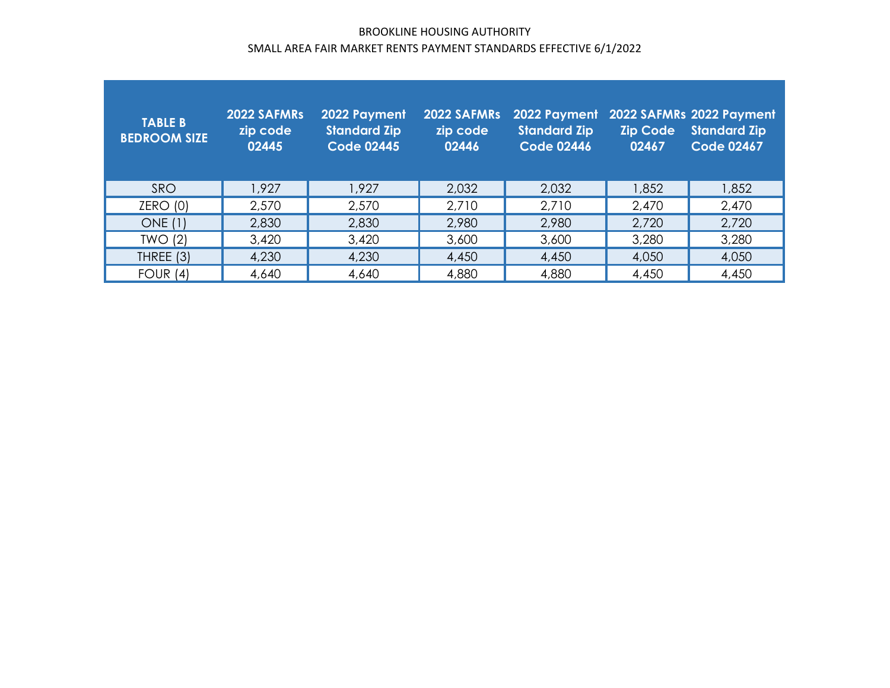## BROOKLINE HOUSING AUTHORITY SMALL AREA FAIR MARKET RENTS PAYMENT STANDARDS EFFECTIVE <sup>6</sup>/1/2022

| <b>TABLE B</b><br><b>BEDROOM SIZE</b> | 2022 SAFMRs<br>zip code<br>02445 | 2022 Payment<br><b>Standard Zip</b><br>Code 02445 | 2022 SAFMRs<br>zip code<br>02446 | 2022 Payment<br><b>Standard Zip</b><br><b>Code 02446</b> | <b>Zip Code</b><br>02467 | 2022 SAFMRs 2022 Payment<br><b>Standard Zip</b><br><b>Code 02467</b> |
|---------------------------------------|----------------------------------|---------------------------------------------------|----------------------------------|----------------------------------------------------------|--------------------------|----------------------------------------------------------------------|
| <b>SRO</b>                            | 1.927                            | 1,927                                             | 2,032                            | 2,032                                                    | 1,852                    | 1,852                                                                |
| ZERO(0)                               | 2,570                            | 2,570                                             | 2,710                            | 2,710                                                    | 2,470                    | 2,470                                                                |
| <b>ONE</b> (1)                        | 2,830                            | 2,830                                             | 2,980                            | 2,980                                                    | 2,720                    | 2,720                                                                |
| TWO(2)                                | 3,420                            | 3,420                                             | 3,600                            | 3,600                                                    | 3,280                    | 3,280                                                                |
| THREE (3)                             | 4,230                            | 4,230                                             | 4,450                            | 4,450                                                    | 4,050                    | 4,050                                                                |
| FOUR $(4)$                            | 4,640                            | 4,640                                             | 4,880                            | 4,880                                                    | 4,450                    | 4,450                                                                |